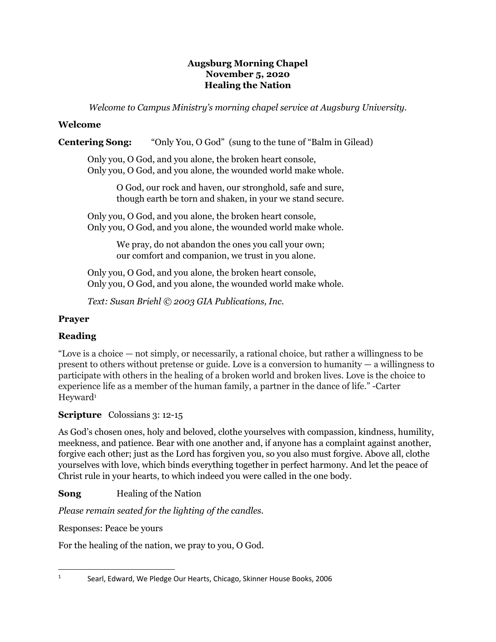## **Augsburg Morning Chapel November 5, 2020 Healing the Nation**

*Welcome to Campus Ministry's morning chapel service at Augsburg University.*

# **Welcome**

# **Centering Song:** "Only You, O God" (sung to the tune of "Balm in Gilead)

Only you, O God, and you alone, the broken heart console, Only you, O God, and you alone, the wounded world make whole.

> O God, our rock and haven, our stronghold, safe and sure, though earth be torn and shaken, in your we stand secure.

Only you, O God, and you alone, the broken heart console, Only you, O God, and you alone, the wounded world make whole.

> We pray, do not abandon the ones you call your own; our comfort and companion, we trust in you alone.

Only you, O God, and you alone, the broken heart console, Only you, O God, and you alone, the wounded world make whole.

*Text: Susan Briehl © 2003 GIA Publications, Inc.* 

## **Prayer**

# **Reading**

"Love is a choice — not simply, or necessarily, a rational choice, but rather a willingness to be present to others without pretense or guide. Love is a conversion to humanity — a willingness to participate with others in the healing of a broken world and broken lives. Love is the choice to experience life as a member of the human family, a partner in the dance of life." -Carter Heyward<sup>1</sup>

# **Scripture** Colossians 3: 12-15

As God's chosen ones, holy and beloved, clothe yourselves with compassion, kindness, humility, meekness, and patience. Bear with one another and, if anyone has a complaint against another, forgive each other; just as the Lord has forgiven you, so you also must forgive. Above all, clothe yourselves with love, which binds everything together in perfect harmony. And let the peace of Christ rule in your hearts, to which indeed you were called in the one body.

**Song** Healing of the Nation

*Please remain seated for the lighting of the candles.*

Responses: Peace be yours

For the healing of the nation, we pray to you, O God.

<sup>1</sup> Searl, Edward, We Pledge Our Hearts, Chicago, Skinner House Books, 2006